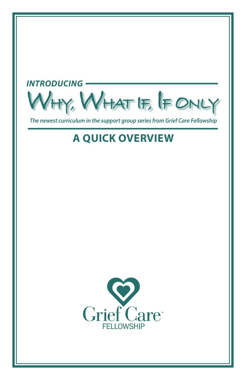

*The newest curriculum in the support group series from Grief Care Fellowship*

# **A QUICK OVERVIEW**

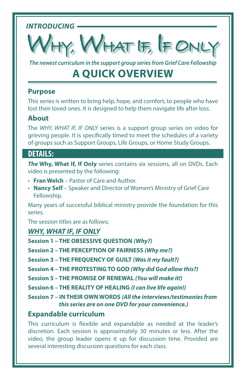#### *INTRODUCING*



*The newest curriculum in the support group series from Grief Care Fellowship* **A QUICK OVERVIEW**

#### **Purpose**

This series is written to bring help, hope, and comfort, to people who have lost their loved ones. It is designed to help them navigate life after loss.

## **About**

The *WHY, WHAT IF, IF ONLY* series is a support group series on video for grieving people. It is specifically timed to meet the schedules of a variety of groups such as Support Groups, Life Groups, or Home Study Groups.

#### **DETAILS:**

*The* **Why, What If, If Only** series contains six sessions, all on DVDs. Each video is presented by the following:

- **Fran Welch** Pastor of Care and Author.
- **Nancy Self** Speaker and Director of Women's Ministry of Grief Care Fellowship.

Many years of successful biblical ministry provide the foundation for this series.

The session titles are as follows;

## *WHY, WHAT IF, IF ONLY*

**Session 1 – THE OBSESSIVE QUESTION** *(Why?)*

**Session 2 – THE PERCEPTION OF FAIRNESS** *(Why me?)*

**Session 3 – THE FREQUENCY OF GUILT** *(Was it my fault?)*

**Session 4 – THE PROTESTING TO GOD** *(Why did God allow this?)*

**Session 5 – THE PROMISE OF RENEWAL** *(You will make it!)*

**Session 6 – THE REALITY OF HEALING** *(I can live life again!)*

**Session 7 – IN THEIR OWN WORDS** *(All the interviews/testimonies from this series are on one DVD for your convenience.)*

## **Expandable curriculum**

This curriculum is flexible and expandable as needed at the leader's discretion. Each session is approximately 30 minutes or less. After the video, the group leader opens it up for discussion time. Provided are several interesting discussion questions for each class.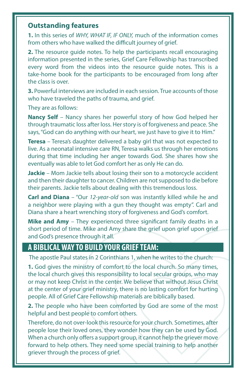#### **Outstanding features**

**1.** In this series of *WHY, WHAT IF, IF ONLY,* much of the information comes from others who have walked the difficult journey of grief.

**2.** The resource guide notes. To help the participants recall encouraging information presented in the series, Grief Care Fellowship has transcribed every word from the videos into the resource guide notes. This is a take-home book for the participants to be encouraged from long after the class is over.

**3.** Powerful interviews are included in each session. True accounts of those who have traveled the paths of trauma, and grief.

They are as follows:

**Nancy Self** – Nancy shares her powerful story of how God helped her through traumatic loss after loss. Her story is of forgiveness and peace. She says, "God can do anything with our heart, we just have to give it to Him."

**Teresa** – Teresa's daughter delivered a baby girl that was not expected to live. As a neonatal intensive care RN, Teresa walks us through her emotions during that time including her anger towards God. She shares how she eventually was able to let God comfort her as only He can do.

**Jackie** – Mom Jackie tells about losing their son to a motorcycle accident and then their daughter to cancer. Children are not supposed to die before their parents. Jackie tells about dealing with this tremendous loss.

**Carl and Diana** – "Our *12-year-old* son was instantly killed while he and a neighbor were playing with a gun they thought was empty". Carl and Diana share a heart wrenching story of forgiveness and God's comfort.

**Mike and Amy** – They experienced three significant family deaths in a short period of time. Mike and Amy share the grief upon grief upon grief and God's presence through it all.

## **A BIBLICAL WAY TO BUILD YOUR GRIEF TEAM:**

The apostle Paul states in 2 Corinthians 1, when he writes to the church:

**1.** God gives the ministry of comfort to the local church. So many times, the local church gives this responsibility to local secular groups, who may or may not keep Christ in the center. We believe that without Jesus Christ at the center of your grief ministry, there is no lasting comfort for hurting people. All of Grief Care Fellowship materials are biblically based.

**2.** The people who have been comforted by God are some of the most helpful and best people to comfort others.

Therefore, do not over-look this resource for your church. Sometimes, after people lose their loved ones, they wonder how they can be used by God. When a church only offers a support group, it cannot help the griever move forward to help others. They need some special training to help another griever through the process of grief.